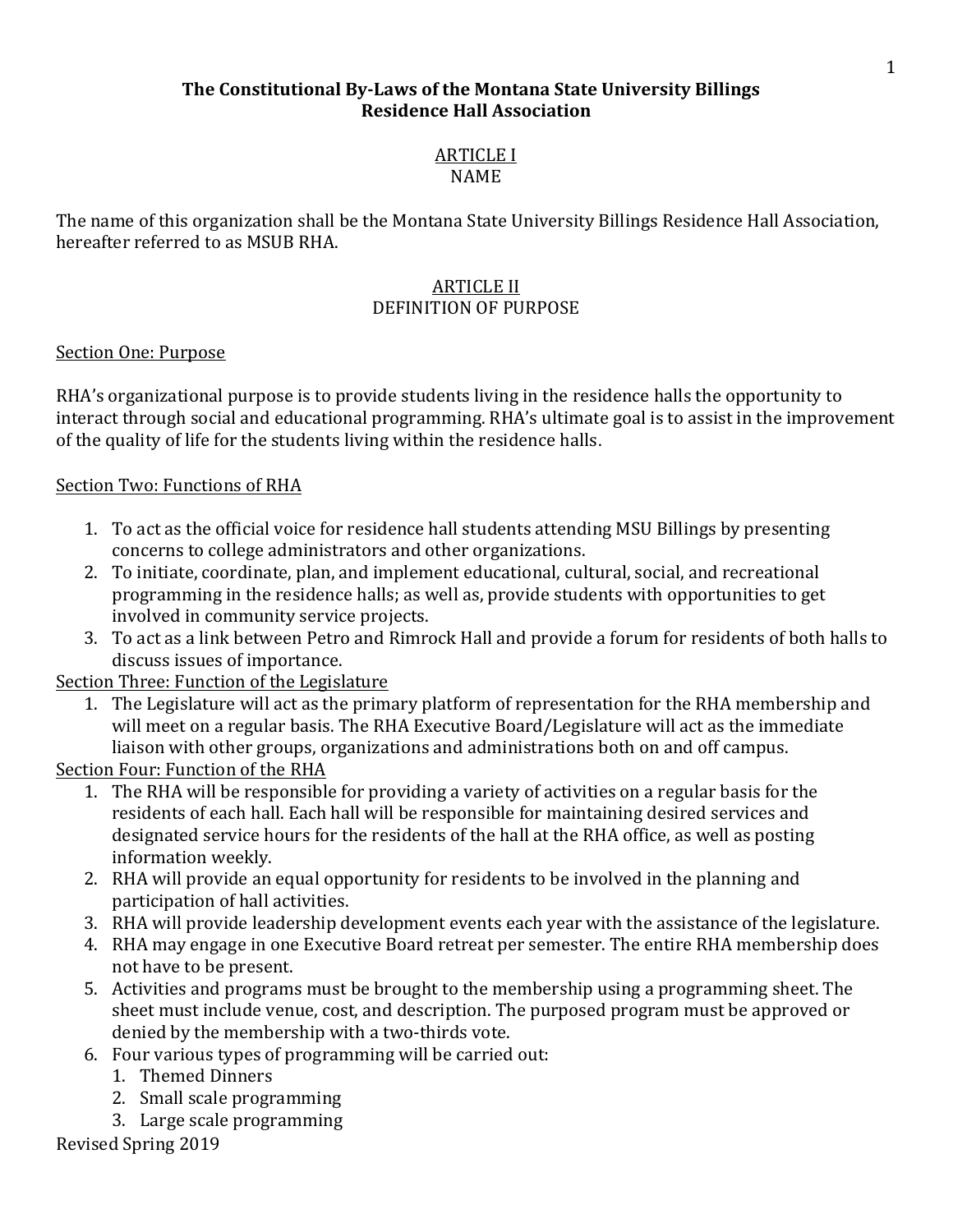### **The Constitutional By-Laws of the Montana State University Billings Residence Hall Association**

# **ARTICLE I**

NAME

The name of this organization shall be the Montana State University Billings Residence Hall Association, hereafter referred to as MSUB RHA.

### **ARTICLE II** DEFINITION OF PURPOSE

### Section One: Purpose

RHA's organizational purpose is to provide students living in the residence halls the opportunity to interact through social and educational programming. RHA's ultimate goal is to assist in the improvement of the quality of life for the students living within the residence halls.

# Section Two: Functions of RHA

- 1. To act as the official voice for residence hall students attending MSU Billings by presenting concerns to college administrators and other organizations.
- 2. To initiate, coordinate, plan, and implement educational, cultural, social, and recreational programming in the residence halls; as well as, provide students with opportunities to get involved in community service projects.
- 3. To act as a link between Petro and Rimrock Hall and provide a forum for residents of both halls to discuss issues of importance.

# Section Three: Function of the Legislature

1. The Legislature will act as the primary platform of representation for the RHA membership and will meet on a regular basis. The RHA Executive Board/Legislature will act as the immediate liaison with other groups, organizations and administrations both on and off campus.

# Section Four: Function of the RHA

- 1. The RHA will be responsible for providing a variety of activities on a regular basis for the residents of each hall. Each hall will be responsible for maintaining desired services and designated service hours for the residents of the hall at the RHA office, as well as posting information weekly.
- 2. RHA will provide an equal opportunity for residents to be involved in the planning and participation of hall activities.
- 3. RHA will provide leadership development events each year with the assistance of the legislature.
- 4. RHA may engage in one Executive Board retreat per semester. The entire RHA membership does not have to be present.
- 5. Activities and programs must be brought to the membership using a programming sheet. The sheet must include venue, cost, and description. The purposed program must be approved or denied by the membership with a two-thirds vote.
- 6. Four various types of programming will be carried out:
	- 1. Themed Dinners
	- 2. Small scale programming
	- 3. Large scale programming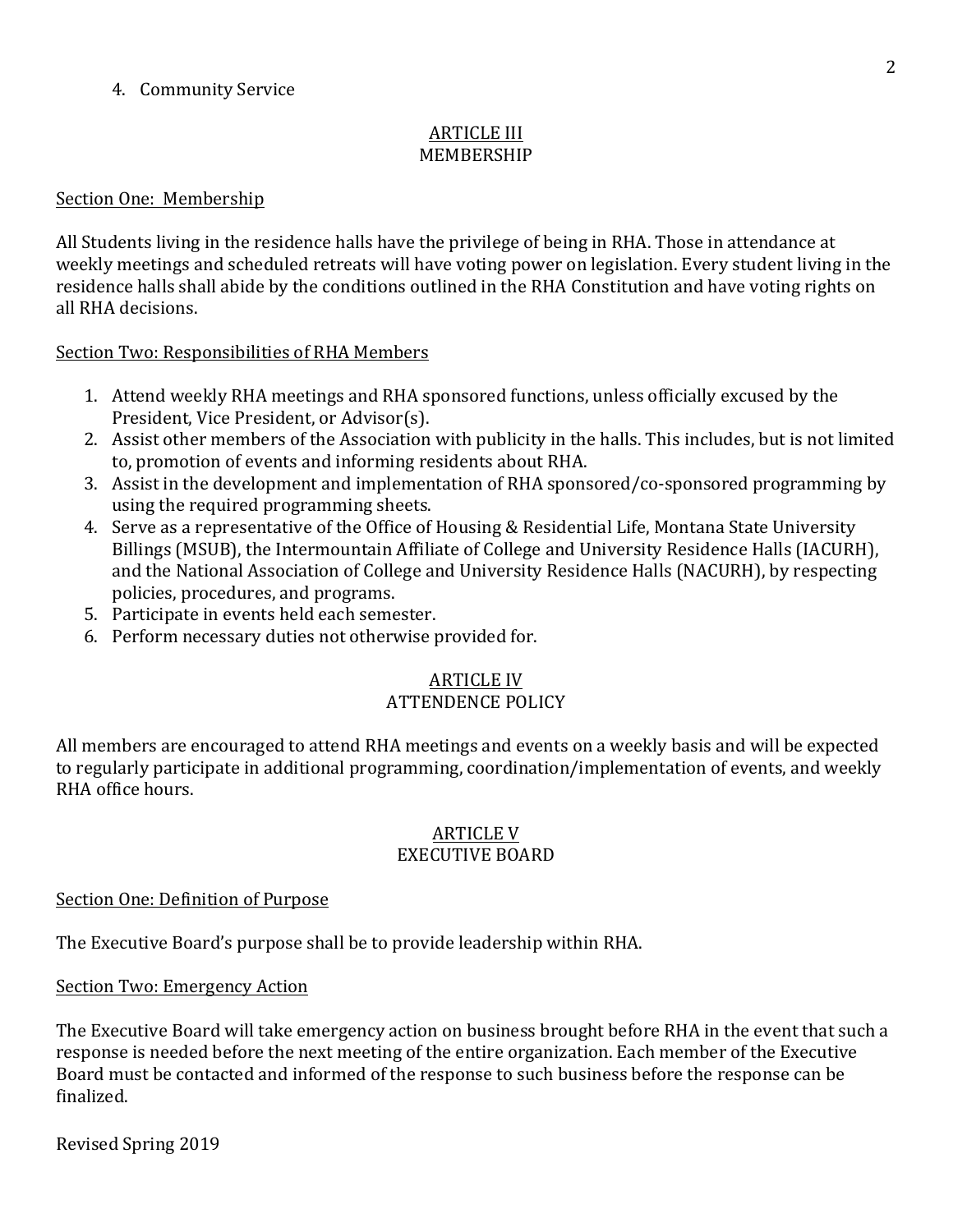### 4. Community Service

### **ARTICLE III** MEMBERSHIP

#### Section One: Membership

All Students living in the residence halls have the privilege of being in RHA. Those in attendance at weekly meetings and scheduled retreats will have voting power on legislation. Every student living in the residence halls shall abide by the conditions outlined in the RHA Constitution and have voting rights on all RHA decisions.

#### Section Two: Responsibilities of RHA Members

- 1. Attend weekly RHA meetings and RHA sponsored functions, unless officially excused by the President, Vice President, or Advisor(s).
- 2. Assist other members of the Association with publicity in the halls. This includes, but is not limited to, promotion of events and informing residents about RHA.
- 3. Assist in the development and implementation of RHA sponsored/co-sponsored programming by using the required programming sheets.
- 4. Serve as a representative of the Office of Housing & Residential Life, Montana State University Billings (MSUB), the Intermountain Affiliate of College and University Residence Halls (IACURH), and the National Association of College and University Residence Halls (NACURH), by respecting policies, procedures, and programs.
- 5. Participate in events held each semester.
- 6. Perform necessary duties not otherwise provided for.

### **ARTICLE IV**

### **ATTENDENCE POLICY**

All members are encouraged to attend RHA meetings and events on a weekly basis and will be expected to regularly participate in additional programming, coordination/implementation of events, and weekly RHA office hours.

#### **ARTICLE V** EXECUTIVE BOARD

#### Section One: Definition of Purpose

The Executive Board's purpose shall be to provide leadership within RHA.

Section Two: Emergency Action

The Executive Board will take emergency action on business brought before RHA in the event that such a response is needed before the next meeting of the entire organization. Each member of the Executive Board must be contacted and informed of the response to such business before the response can be finalized.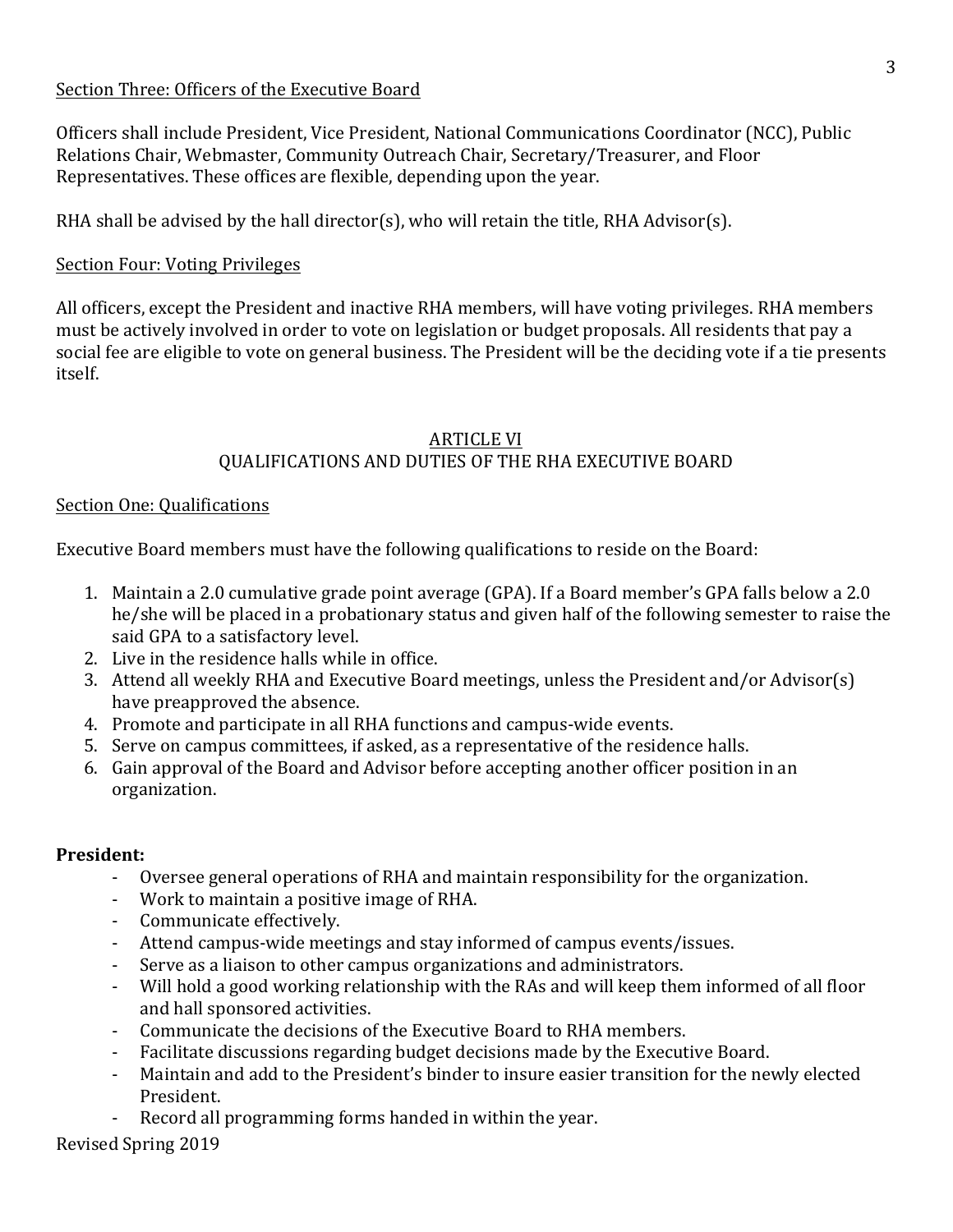### Section Three: Officers of the Executive Board

Officers shall include President, Vice President, National Communications Coordinator (NCC), Public Relations Chair, Webmaster, Community Outreach Chair, Secretary/Treasurer, and Floor Representatives. These offices are flexible, depending upon the year.

RHA shall be advised by the hall director(s), who will retain the title, RHA Advisor(s).

### Section Four: Voting Privileges

All officers, except the President and inactive RHA members, will have voting privileges. RHA members must be actively involved in order to vote on legislation or budget proposals. All residents that pay a social fee are eligible to vote on general business. The President will be the deciding vote if a tie presents itself.

### **ARTICLE VI** QUALIFICATIONS AND DUTIES OF THE RHA EXECUTIVE BOARD

### Section One: Qualifications

Executive Board members must have the following qualifications to reside on the Board:

- 1. Maintain a 2.0 cumulative grade point average (GPA). If a Board member's GPA falls below a 2.0 he/she will be placed in a probationary status and given half of the following semester to raise the said GPA to a satisfactory level.
- 2. Live in the residence halls while in office.
- 3. Attend all weekly RHA and Executive Board meetings, unless the President and/or Advisor(s) have preapproved the absence.
- 4. Promote and participate in all RHA functions and campus-wide events.
- 5. Serve on campus committees, if asked, as a representative of the residence halls.
- 6. Gain approval of the Board and Advisor before accepting another officer position in an organization.

### **President:**

- Oversee general operations of RHA and maintain responsibility for the organization.
- Work to maintain a positive image of RHA.
- Communicate effectively.
- Attend campus-wide meetings and stay informed of campus events/issues.
- Serve as a liaison to other campus organizations and administrators.
- Will hold a good working relationship with the RAs and will keep them informed of all floor and hall sponsored activities.
- Communicate the decisions of the Executive Board to RHA members.
- Facilitate discussions regarding budget decisions made by the Executive Board.
- Maintain and add to the President's binder to insure easier transition for the newly elected President.
- Record all programming forms handed in within the year.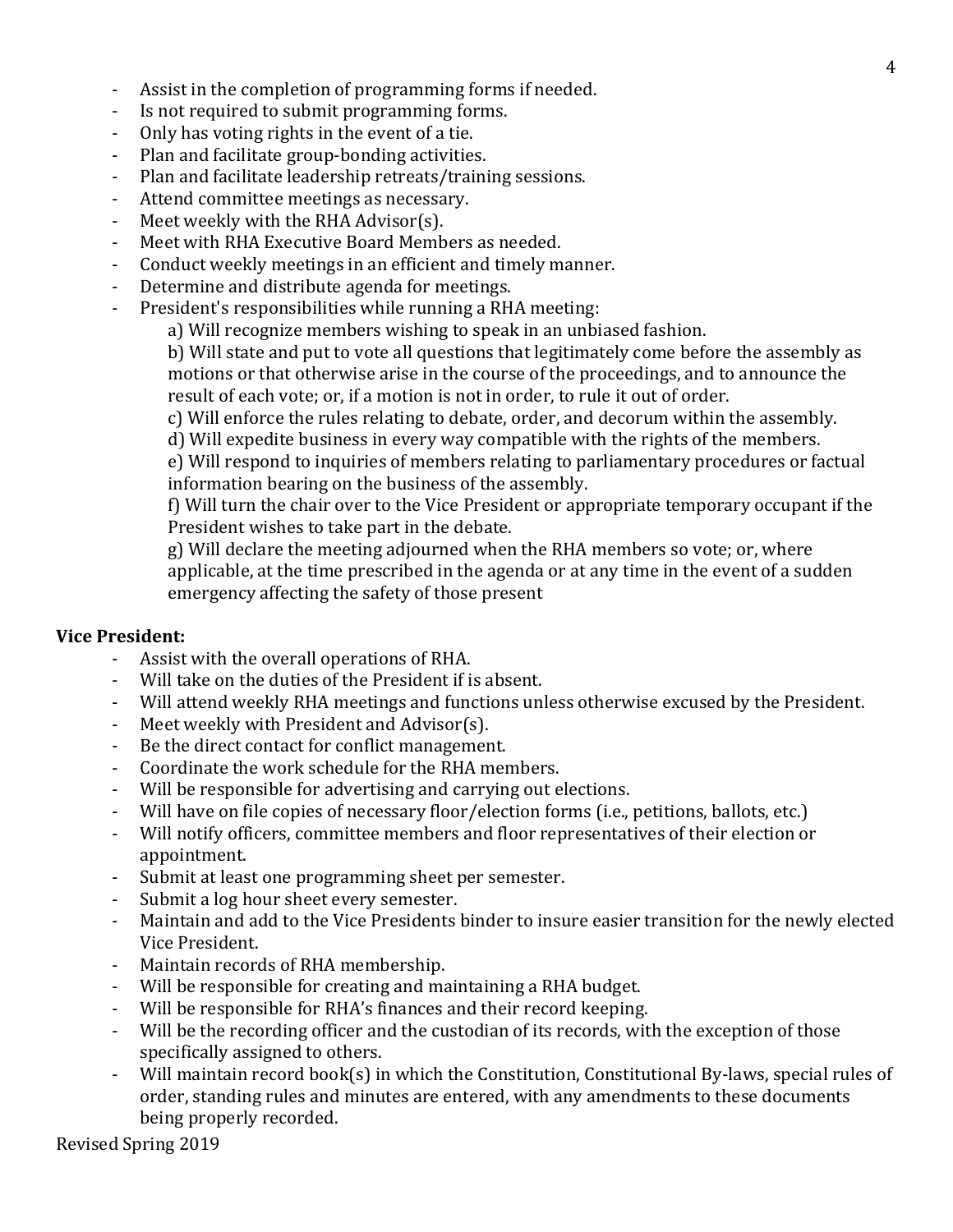- Assist in the completion of programming forms if needed.
- Is not required to submit programming forms.
- Only has voting rights in the event of a tie.
- Plan and facilitate group-bonding activities.
- Plan and facilitate leadership retreats/training sessions.
- Attend committee meetings as necessary.
- Meet weekly with the RHA Advisor(s).
- Meet with RHA Executive Board Members as needed.
- Conduct weekly meetings in an efficient and timely manner.
- Determine and distribute agenda for meetings.
- President's responsibilities while running a RHA meeting:
	- a) Will recognize members wishing to speak in an unbiased fashion.

b) Will state and put to vote all questions that legitimately come before the assembly as motions or that otherwise arise in the course of the proceedings, and to announce the result of each vote; or, if a motion is not in order, to rule it out of order.

c) Will enforce the rules relating to debate, order, and decorum within the assembly.

d) Will expedite business in every way compatible with the rights of the members.

e) Will respond to inquiries of members relating to parliamentary procedures or factual information bearing on the business of the assembly.

f) Will turn the chair over to the Vice President or appropriate temporary occupant if the President wishes to take part in the debate.

g) Will declare the meeting adjourned when the RHA members so vote; or, where applicable, at the time prescribed in the agenda or at any time in the event of a sudden emergency affecting the safety of those present

#### **Vice President:**

- Assist with the overall operations of RHA.
- Will take on the duties of the President if is absent.
- Will attend weekly RHA meetings and functions unless otherwise excused by the President.
- Meet weekly with President and Advisor(s).
- Be the direct contact for conflict management.
- Coordinate the work schedule for the RHA members.
- Will be responsible for advertising and carrying out elections.
- Will have on file copies of necessary floor/election forms (i.e., petitions, ballots, etc.)
- Will notify officers, committee members and floor representatives of their election or appointment.
- Submit at least one programming sheet per semester.
- Submit a log hour sheet every semester.
- Maintain and add to the Vice Presidents binder to insure easier transition for the newly elected Vice President.
- Maintain records of RHA membership.
- Will be responsible for creating and maintaining a RHA budget.
- Will be responsible for RHA's finances and their record keeping.
- Will be the recording officer and the custodian of its records, with the exception of those specifically assigned to others.
- Will maintain record book(s) in which the Constitution, Constitutional By-laws, special rules of order, standing rules and minutes are entered, with any amendments to these documents being properly recorded.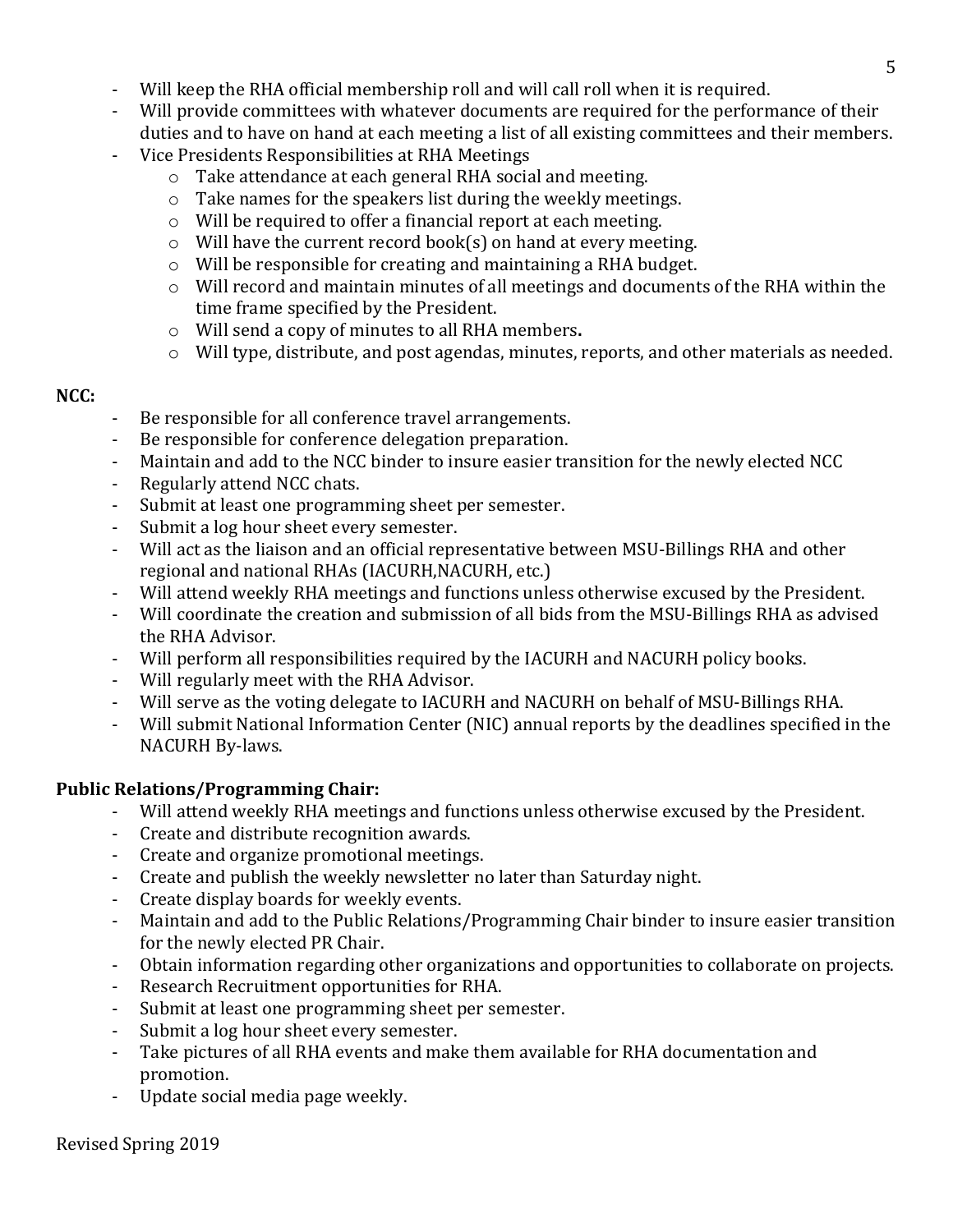- Will keep the RHA official membership roll and will call roll when it is required.
- Will provide committees with whatever documents are required for the performance of their duties and to have on hand at each meeting a list of all existing committees and their members.
- Vice Presidents Responsibilities at RHA Meetings
	- $\circ$  Take attendance at each general RHA social and meeting.
	- $\circ$  Take names for the speakers list during the weekly meetings.
	- $\circ$  Will be required to offer a financial report at each meeting.
	- $\circ$  Will have the current record book(s) on hand at every meeting.
	- $\circ$  Will be responsible for creating and maintaining a RHA budget.
	- $\circ$  Will record and maintain minutes of all meetings and documents of the RHA within the time frame specified by the President.
	- o Will send a copy of minutes to all RHA members**.**
	- $\circ$  Will type, distribute, and post agendas, minutes, reports, and other materials as needed.

### **NCC:**

- Be responsible for all conference travel arrangements.
- Be responsible for conference delegation preparation.
- Maintain and add to the NCC binder to insure easier transition for the newly elected NCC
- Regularly attend NCC chats.
- Submit at least one programming sheet per semester.
- Submit a log hour sheet every semester.
- Will act as the liaison and an official representative between MSU-Billings RHA and other regional and national RHAs (IACURH, NACURH, etc.)
- Will attend weekly RHA meetings and functions unless otherwise excused by the President.
- Will coordinate the creation and submission of all bids from the MSU-Billings RHA as advised the RHA Advisor.
- Will perform all responsibilities required by the IACURH and NACURH policy books.
- Will regularly meet with the RHA Advisor.
- Will serve as the voting delegate to IACURH and NACURH on behalf of MSU-Billings RHA.
- Will submit National Information Center (NIC) annual reports by the deadlines specified in the NACURH By-laws.

# **Public Relations/Programming Chair:**

- Will attend weekly RHA meetings and functions unless otherwise excused by the President.
- Create and distribute recognition awards.
- Create and organize promotional meetings.
- Create and publish the weekly newsletter no later than Saturday night.
- Create display boards for weekly events.
- Maintain and add to the Public Relations/Programming Chair binder to insure easier transition for the newly elected PR Chair.
- Obtain information regarding other organizations and opportunities to collaborate on projects.
- Research Recruitment opportunities for RHA.
- Submit at least one programming sheet per semester.
- Submit a log hour sheet every semester.
- Take pictures of all RHA events and make them available for RHA documentation and promotion.
- Update social media page weekly.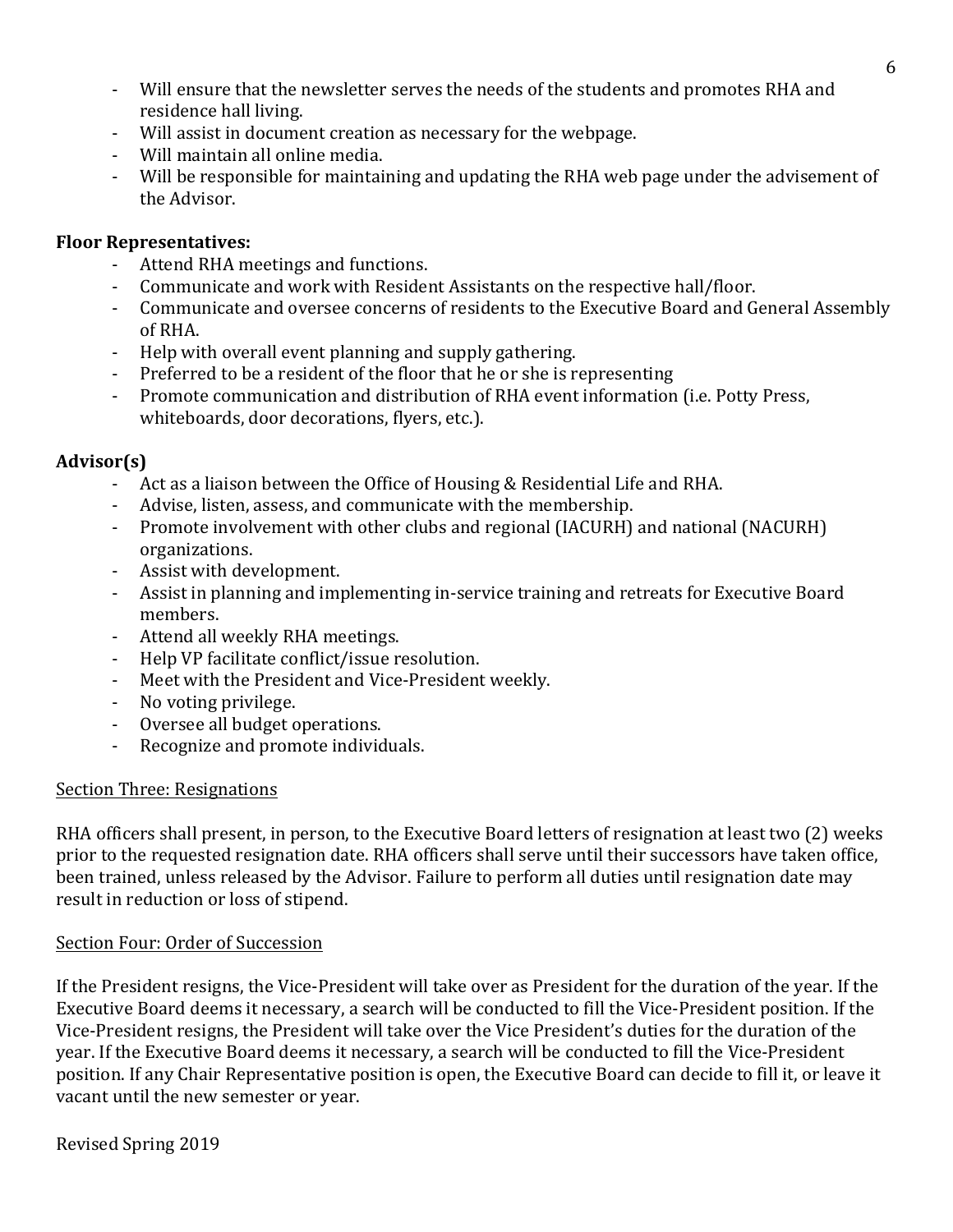- Will ensure that the newsletter serves the needs of the students and promotes RHA and residence hall living.
- Will assist in document creation as necessary for the webpage.
- Will maintain all online media.
- Will be responsible for maintaining and updating the RHA web page under the advisement of the Advisor.

## **Floor Representatives:**

- Attend RHA meetings and functions.
- Communicate and work with Resident Assistants on the respective hall/floor.
- Communicate and oversee concerns of residents to the Executive Board and General Assembly of RHA.
- Help with overall event planning and supply gathering.
- Preferred to be a resident of the floor that he or she is representing
- Promote communication and distribution of RHA event information (i.e. Potty Press, whiteboards, door decorations, flyers, etc.).

# **Advisor(s)**

- Act as a liaison between the Office of Housing & Residential Life and RHA.
- Advise, listen, assess, and communicate with the membership.
- Promote involvement with other clubs and regional (IACURH) and national (NACURH) organizations.
- Assist with development.
- Assist in planning and implementing in-service training and retreats for Executive Board members.
- Attend all weekly RHA meetings.
- Help VP facilitate conflict/issue resolution.
- Meet with the President and Vice-President weekly.
- No voting privilege.
- Oversee all budget operations.
- Recognize and promote individuals.

### **Section Three: Resignations**

RHA officers shall present, in person, to the Executive Board letters of resignation at least two (2) weeks prior to the requested resignation date. RHA officers shall serve until their successors have taken office, been trained, unless released by the Advisor. Failure to perform all duties until resignation date may result in reduction or loss of stipend.

# Section Four: Order of Succession

If the President resigns, the Vice-President will take over as President for the duration of the year. If the Executive Board deems it necessary, a search will be conducted to fill the Vice-President position. If the Vice-President resigns, the President will take over the Vice President's duties for the duration of the year. If the Executive Board deems it necessary, a search will be conducted to fill the Vice-President position. If any Chair Representative position is open, the Executive Board can decide to fill it, or leave it vacant until the new semester or year.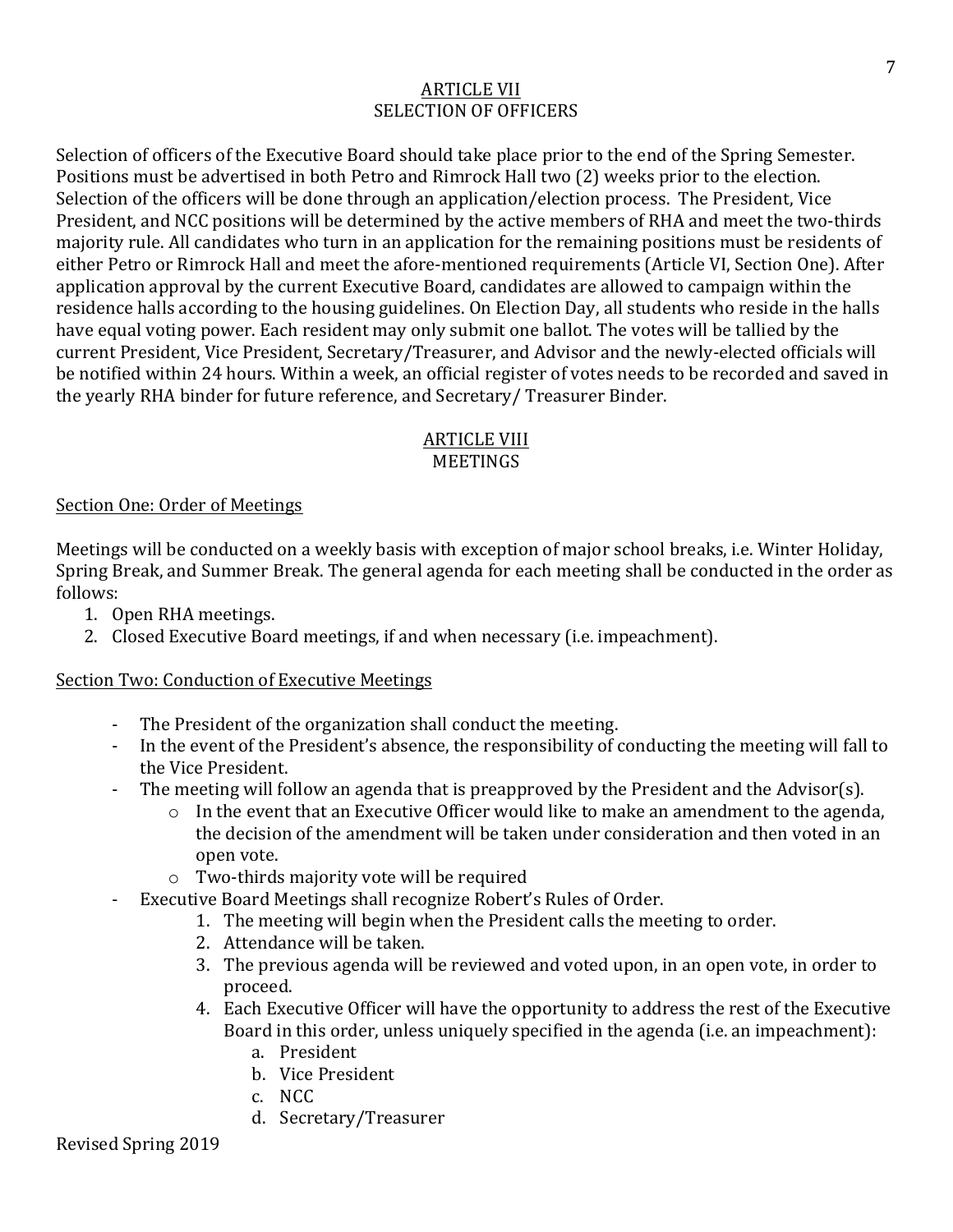### **ARTICLE VII** SELECTION OF OFFICERS

Selection of officers of the Executive Board should take place prior to the end of the Spring Semester. Positions must be advertised in both Petro and Rimrock Hall two (2) weeks prior to the election. Selection of the officers will be done through an application/election process. The President, Vice President, and NCC positions will be determined by the active members of RHA and meet the two-thirds majority rule. All candidates who turn in an application for the remaining positions must be residents of either Petro or Rimrock Hall and meet the afore-mentioned requirements (Article VI, Section One). After application approval by the current Executive Board, candidates are allowed to campaign within the residence halls according to the housing guidelines. On Election Day, all students who reside in the halls have equal voting power. Each resident may only submit one ballot. The votes will be tallied by the current President, Vice President, Secretary/Treasurer, and Advisor and the newly-elected officials will be notified within 24 hours. Within a week, an official register of votes needs to be recorded and saved in the yearly RHA binder for future reference, and Secretary/ Treasurer Binder.

#### **ARTICLE VIII MEETINGS**

### Section One: Order of Meetings

Meetings will be conducted on a weekly basis with exception of major school breaks, i.e. Winter Holiday, Spring Break, and Summer Break. The general agenda for each meeting shall be conducted in the order as follows:

- 1. Open RHA meetings.
- 2. Closed Executive Board meetings, if and when necessary (i.e. impeachment).

### Section Two: Conduction of Executive Meetings

- The President of the organization shall conduct the meeting.
- In the event of the President's absence, the responsibility of conducting the meeting will fall to the Vice President.
- The meeting will follow an agenda that is preapproved by the President and the Advisor(s).
	- $\circ$  In the event that an Executive Officer would like to make an amendment to the agenda, the decision of the amendment will be taken under consideration and then voted in an open vote.
	- $\circ$  Two-thirds majority vote will be required
- Executive Board Meetings shall recognize Robert's Rules of Order.
	- 1. The meeting will begin when the President calls the meeting to order.
	- 2. Attendance will be taken.
	- 3. The previous agenda will be reviewed and voted upon, in an open vote, in order to proceed.
	- 4. Each Executive Officer will have the opportunity to address the rest of the Executive Board in this order, unless uniquely specified in the agenda (i.e. an impeachment):
		- a. President
		- b. Vice President
		- c. NCC
		- d. Secretary/Treasurer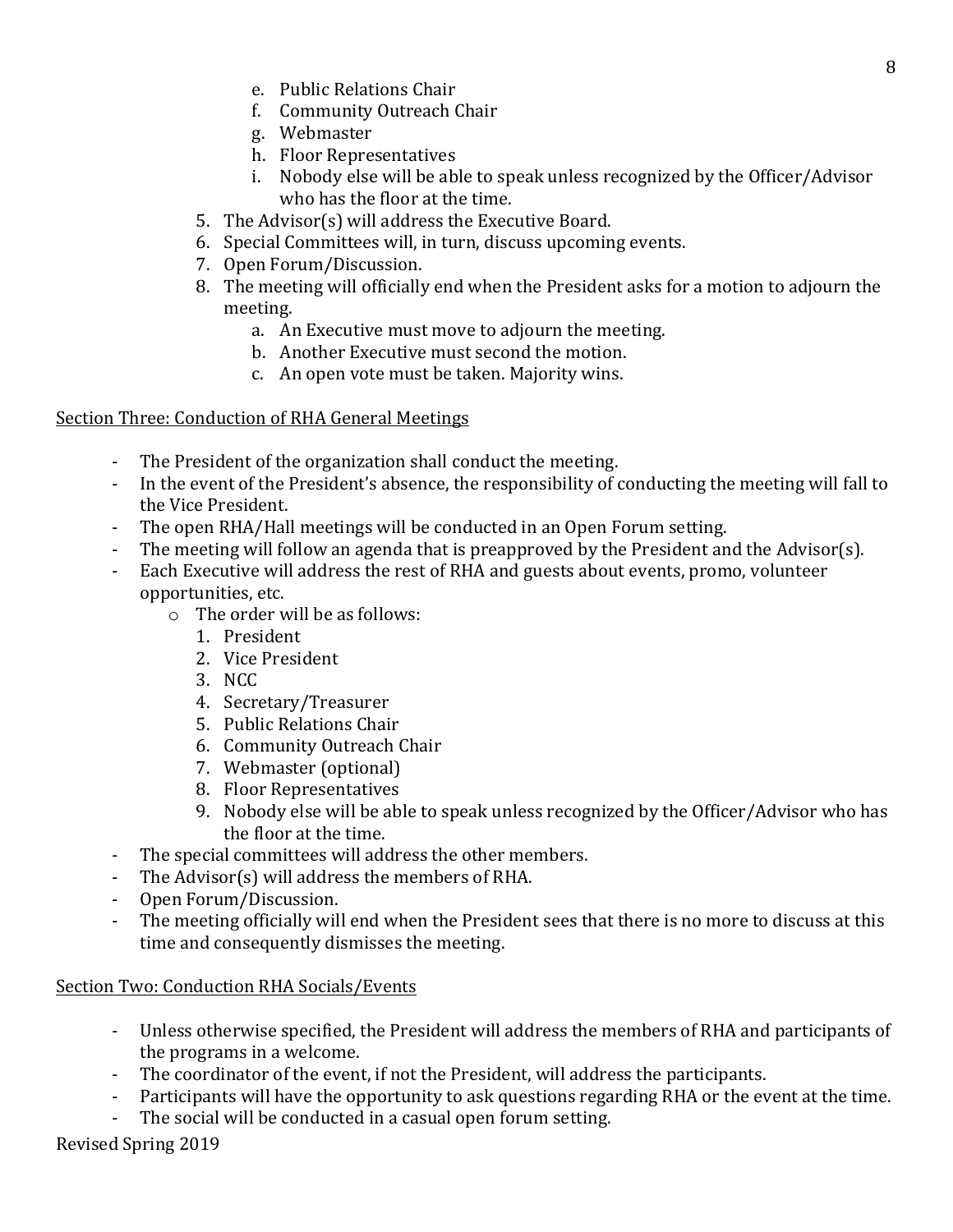- e. Public Relations Chair
- f. Community Outreach Chair
- g. Webmaster
- h. Floor Representatives
- i. Nobody else will be able to speak unless recognized by the Officer/Advisor who has the floor at the time.
- 5. The Advisor(s) will address the Executive Board.
- 6. Special Committees will, in turn, discuss upcoming events.
- 7. Open Forum/Discussion.
- 8. The meeting will officially end when the President asks for a motion to adjourn the meeting.
	- a. An Executive must move to adjourn the meeting.
	- b. Another Executive must second the motion.
	- c. An open vote must be taken. Majority wins.

### Section Three: Conduction of RHA General Meetings

- The President of the organization shall conduct the meeting.
- In the event of the President's absence, the responsibility of conducting the meeting will fall to the Vice President.
- The open RHA/Hall meetings will be conducted in an Open Forum setting.
- The meeting will follow an agenda that is preapproved by the President and the Advisor(s).
- Each Executive will address the rest of RHA and guests about events, promo, volunteer opportunities, etc.
	- $\circ$  The order will be as follows:
		- 1. President
		- 2. Vice President
		- 3. NCC
		- 4. Secretary/Treasurer
		- 5. Public Relations Chair
		- 6. Community Outreach Chair
		- 7. Webmaster (optional)
		- 8. Floor Representatives
		- 9. Nobody else will be able to speak unless recognized by the Officer/Advisor who has the floor at the time.
- The special committees will address the other members.
- The  $Advisor(s)$  will address the members of RHA.
- Open Forum/Discussion.
- The meeting officially will end when the President sees that there is no more to discuss at this time and consequently dismisses the meeting.

Section Two: Conduction RHA Socials/Events

- Unless otherwise specified, the President will address the members of RHA and participants of the programs in a welcome.
- The coordinator of the event, if not the President, will address the participants.
- Participants will have the opportunity to ask questions regarding RHA or the event at the time.
- The social will be conducted in a casual open forum setting.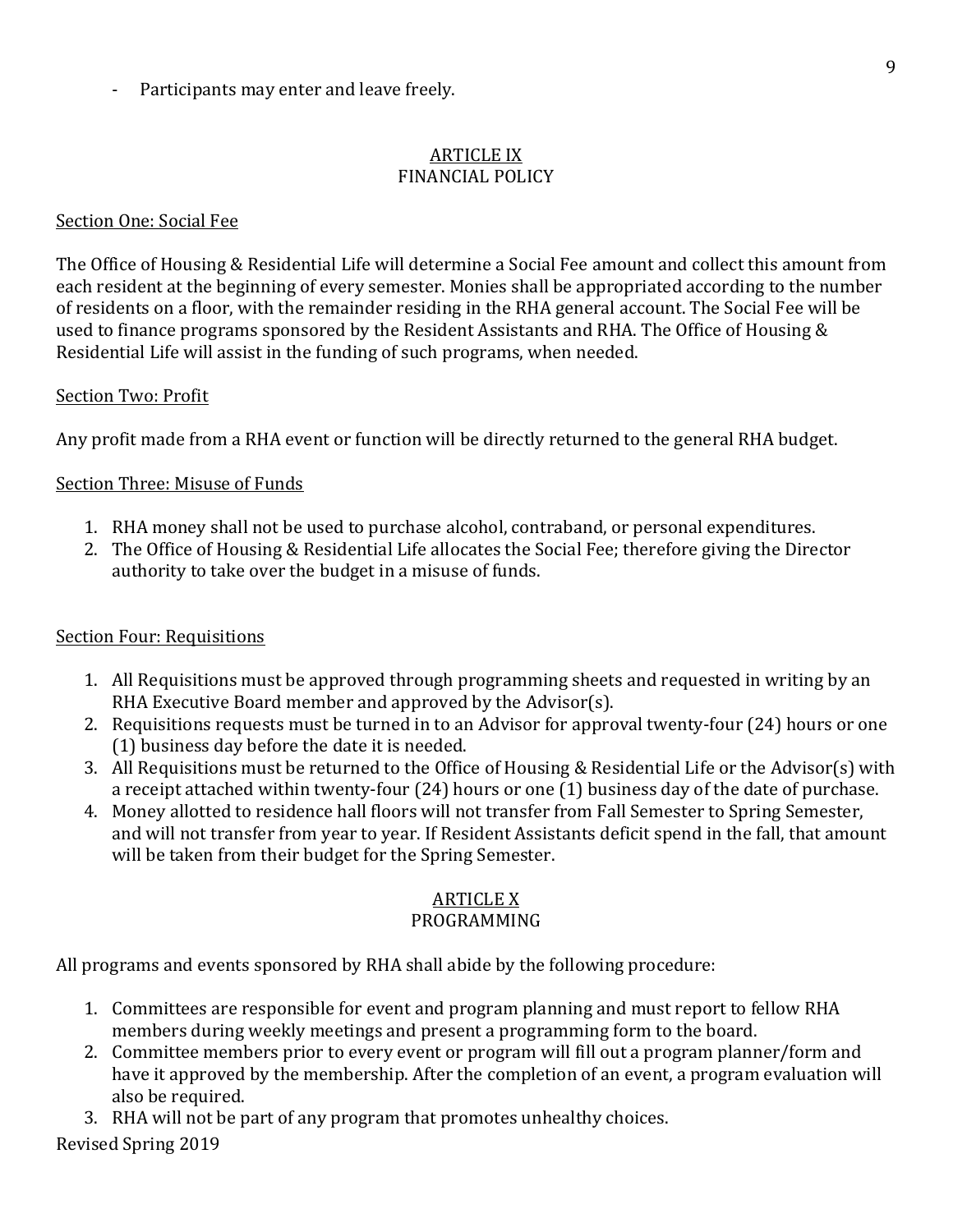Participants may enter and leave freely.

### **ARTICLE IX** FINANCIAL POLICY

### Section One: Social Fee

The Office of Housing & Residential Life will determine a Social Fee amount and collect this amount from each resident at the beginning of every semester. Monies shall be appropriated according to the number of residents on a floor, with the remainder residing in the RHA general account. The Social Fee will be used to finance programs sponsored by the Resident Assistants and RHA. The Office of Housing  $&$ Residential Life will assist in the funding of such programs, when needed.

### Section Two: Profit

Any profit made from a RHA event or function will be directly returned to the general RHA budget.

### Section Three: Misuse of Funds

- 1. RHA money shall not be used to purchase alcohol, contraband, or personal expenditures.
- 2. The Office of Housing & Residential Life allocates the Social Fee; therefore giving the Director authority to take over the budget in a misuse of funds.

### Section Four: Requisitions

- 1. All Requisitions must be approved through programming sheets and requested in writing by an RHA Executive Board member and approved by the Advisor(s).
- 2. Requisitions requests must be turned in to an Advisor for approval twenty-four (24) hours or one  $(1)$  business day before the date it is needed.
- 3. All Requisitions must be returned to the Office of Housing & Residential Life or the Advisor(s) with a receipt attached within twenty-four  $(24)$  hours or one  $(1)$  business day of the date of purchase.
- 4. Money allotted to residence hall floors will not transfer from Fall Semester to Spring Semester, and will not transfer from year to year. If Resident Assistants deficit spend in the fall, that amount will be taken from their budget for the Spring Semester.

# **ARTICLE X**

### PROGRAMMING

All programs and events sponsored by RHA shall abide by the following procedure:

- 1. Committees are responsible for event and program planning and must report to fellow RHA members during weekly meetings and present a programming form to the board.
- 2. Committee members prior to every event or program will fill out a program planner/form and have it approved by the membership. After the completion of an event, a program evaluation will also be required.
- 3. RHA will not be part of any program that promotes unhealthy choices.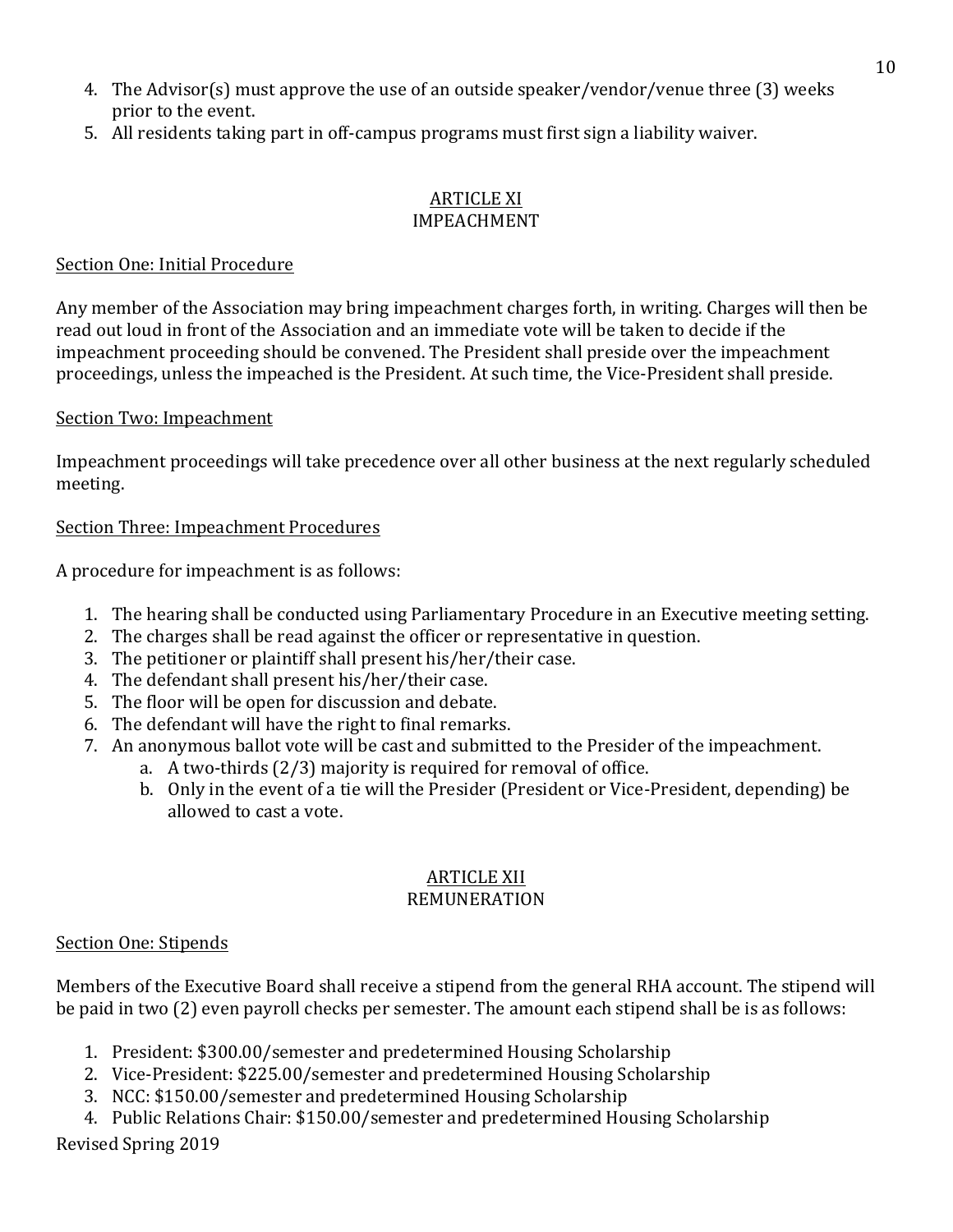- 4. The Advisor(s) must approve the use of an outside speaker/vendor/venue three (3) weeks prior to the event.
- 5. All residents taking part in off-campus programs must first sign a liability waiver.

#### **ARTICLE XI** IMPEACHMENT

### Section One: Initial Procedure

Any member of the Association may bring impeachment charges forth, in writing. Charges will then be read out loud in front of the Association and an immediate vote will be taken to decide if the impeachment proceeding should be convened. The President shall preside over the impeachment proceedings, unless the impeached is the President. At such time, the Vice-President shall preside.

### Section Two: Impeachment

Impeachment proceedings will take precedence over all other business at the next regularly scheduled meeting.

### Section Three: Impeachment Procedures

A procedure for impeachment is as follows:

- 1. The hearing shall be conducted using Parliamentary Procedure in an Executive meeting setting.
- 2. The charges shall be read against the officer or representative in question.
- 3. The petitioner or plaintiff shall present his/her/their case.
- 4. The defendant shall present his/her/their case.
- 5. The floor will be open for discussion and debate.
- 6. The defendant will have the right to final remarks.
- 7. An anonymous ballot vote will be cast and submitted to the Presider of the impeachment.
	- a. A two-thirds  $(2/3)$  majority is required for removal of office.
	- b. Only in the event of a tie will the Presider (President or Vice-President, depending) be allowed to cast a vote.

#### **ARTICLE XII** REMUNERATION

### Section One: Stipends

Members of the Executive Board shall receive a stipend from the general RHA account. The stipend will be paid in two (2) even payroll checks per semester. The amount each stipend shall be is as follows:

- 1. President: \$300.00/semester and predetermined Housing Scholarship
- 2. Vice-President: \$225.00/semester and predetermined Housing Scholarship
- 3. NCC: \$150.00/semester and predetermined Housing Scholarship
- 4. Public Relations Chair: \$150.00/semester and predetermined Housing Scholarship